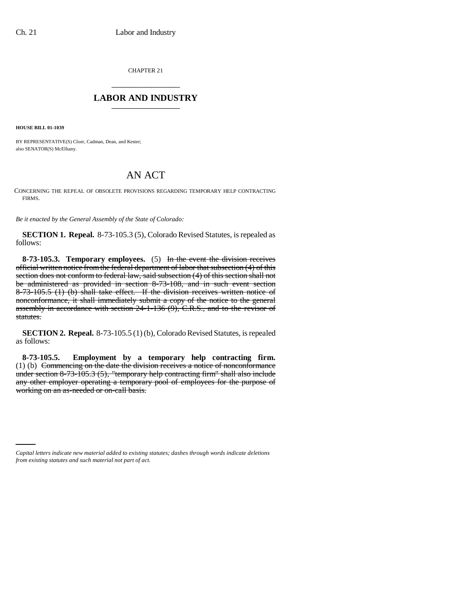CHAPTER 21 \_\_\_\_\_\_\_\_\_\_\_\_\_\_\_

## **LABOR AND INDUSTRY** \_\_\_\_\_\_\_\_\_\_\_\_\_\_\_

**HOUSE BILL 01-1039**

BY REPRESENTATIVE(S) Cloer, Cadman, Dean, and Kester; also SENATOR(S) McElhany.

## AN ACT

CONCERNING THE REPEAL OF OBSOLETE PROVISIONS REGARDING TEMPORARY HELP CONTRACTING FIRMS.

*Be it enacted by the General Assembly of the State of Colorado:*

**SECTION 1. Repeal.** 8-73-105.3 (5), Colorado Revised Statutes, is repealed as follows:

**8-73-105.3. Temporary employees.** (5) In the event the division receives official written notice from the federal department of labor that subsection (4) of this section does not conform to federal law, said subsection (4) of this section shall not be administered as provided in section 8-73-108, and in such event section 8-73-105.5 (1) (b) shall take effect. If the division receives written notice of nonconformance, it shall immediately submit a copy of the notice to the general assembly in accordance with section 24-1-136 (9), C.R.S., and to the revisor of statutes.

**SECTION 2. Repeal.** 8-73-105.5 (1) (b), Colorado Revised Statutes, is repealed as follows:

**8-73-105.5. Employment by a temporary help contracting firm.** (1) (b) Commencing on the date the division receives a notice of nonconformance under section 8-73-105.3 (5), "temporary help contracting firm" shall also include any other employer operating a temporary pool of employees for the purpose of working on an as-needed or on-call basis.

*Capital letters indicate new material added to existing statutes; dashes through words indicate deletions from existing statutes and such material not part of act.*